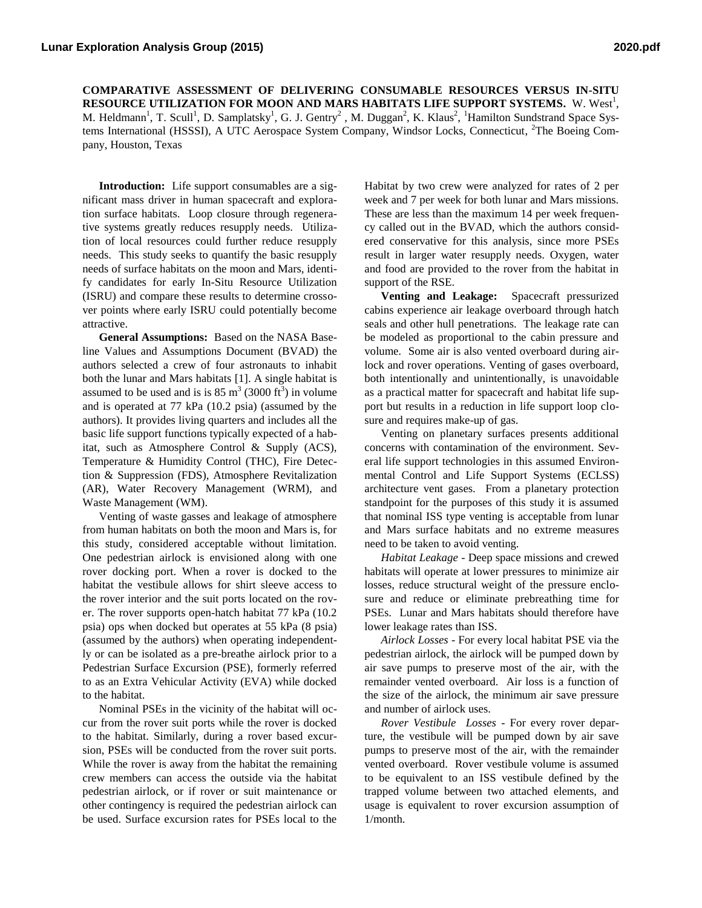**COMPARATIVE ASSESSMENT OF DELIVERING CONSUMABLE RESOURCES VERSUS IN-SITU RESOURCE UTILIZATION FOR MOON AND MARS HABITATS LIFE SUPPORT SYSTEMS.** W. West<sup>1</sup>, M. Heldmann<sup>1</sup>, T. Scull<sup>1</sup>, D. Samplatsky<sup>1</sup>, G. J. Gentry<sup>2</sup>, M. Duggan<sup>2</sup>, K. Klaus<sup>2</sup>, <sup>1</sup>Hamilton Sundstrand Space Systems International (HSSSI), A UTC Aerospace System Company, Windsor Locks, Connecticut, <sup>2</sup>The Boeing Company, Houston, Texas

**Introduction:** Life support consumables are a significant mass driver in human spacecraft and exploration surface habitats. Loop closure through regenerative systems greatly reduces resupply needs. Utilization of local resources could further reduce resupply needs. This study seeks to quantify the basic resupply needs of surface habitats on the moon and Mars, identify candidates for early In-Situ Resource Utilization (ISRU) and compare these results to determine crossover points where early ISRU could potentially become attractive.

**General Assumptions:** Based on the NASA Baseline Values and Assumptions Document (BVAD) the authors selected a crew of four astronauts to inhabit both the lunar and Mars habitats [1]. A single habitat is assumed to be used and is is  $85 \text{ m}^3$  (3000 ft<sup>3</sup>) in volume and is operated at 77 kPa (10.2 psia) (assumed by the authors). It provides living quarters and includes all the basic life support functions typically expected of a habitat, such as Atmosphere Control & Supply (ACS), Temperature & Humidity Control (THC), Fire Detection & Suppression (FDS), Atmosphere Revitalization (AR), Water Recovery Management (WRM), and Waste Management (WM).

Venting of waste gasses and leakage of atmosphere from human habitats on both the moon and Mars is, for this study, considered acceptable without limitation. One pedestrian airlock is envisioned along with one rover docking port. When a rover is docked to the habitat the vestibule allows for shirt sleeve access to the rover interior and the suit ports located on the rover. The rover supports open-hatch habitat 77 kPa (10.2 psia) ops when docked but operates at 55 kPa (8 psia) (assumed by the authors) when operating independently or can be isolated as a pre-breathe airlock prior to a Pedestrian Surface Excursion (PSE), formerly referred to as an Extra Vehicular Activity (EVA) while docked to the habitat.

Nominal PSEs in the vicinity of the habitat will occur from the rover suit ports while the rover is docked to the habitat. Similarly, during a rover based excursion, PSEs will be conducted from the rover suit ports. While the rover is away from the habitat the remaining crew members can access the outside via the habitat pedestrian airlock, or if rover or suit maintenance or other contingency is required the pedestrian airlock can be used. Surface excursion rates for PSEs local to the

Habitat by two crew were analyzed for rates of 2 per week and 7 per week for both lunar and Mars missions. These are less than the maximum 14 per week frequency called out in the BVAD, which the authors considered conservative for this analysis, since more PSEs result in larger water resupply needs. Oxygen, water and food are provided to the rover from the habitat in support of the RSE.

**Venting and Leakage:** Spacecraft pressurized cabins experience air leakage overboard through hatch seals and other hull penetrations. The leakage rate can be modeled as proportional to the cabin pressure and volume. Some air is also vented overboard during airlock and rover operations. Venting of gases overboard, both intentionally and unintentionally, is unavoidable as a practical matter for spacecraft and habitat life support but results in a reduction in life support loop closure and requires make-up of gas.

Venting on planetary surfaces presents additional concerns with contamination of the environment. Several life support technologies in this assumed Environmental Control and Life Support Systems (ECLSS) architecture vent gases. From a planetary protection standpoint for the purposes of this study it is assumed that nominal ISS type venting is acceptable from lunar and Mars surface habitats and no extreme measures need to be taken to avoid venting.

*Habitat Leakage* - Deep space missions and crewed habitats will operate at lower pressures to minimize air losses, reduce structural weight of the pressure enclosure and reduce or eliminate prebreathing time for PSEs. Lunar and Mars habitats should therefore have lower leakage rates than ISS.

*Airlock Losses* - For every local habitat PSE via the pedestrian airlock, the airlock will be pumped down by air save pumps to preserve most of the air, with the remainder vented overboard. Air loss is a function of the size of the airlock, the minimum air save pressure and number of airlock uses.

*Rover Vestibule Losses* - For every rover departure, the vestibule will be pumped down by air save pumps to preserve most of the air, with the remainder vented overboard. Rover vestibule volume is assumed to be equivalent to an ISS vestibule defined by the trapped volume between two attached elements, and usage is equivalent to rover excursion assumption of 1/month.